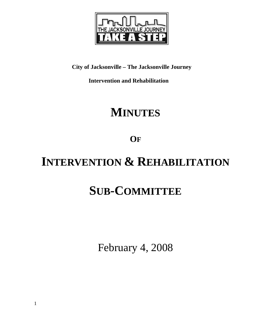

**City of Jacksonville – The Jacksonville Journey** 

 **Intervention and Rehabilitation** 

# **MINUTES**

**OF**

# **INTERVENTION & REHABILITATION**

# **SUB-COMMITTEE**

February 4, 2008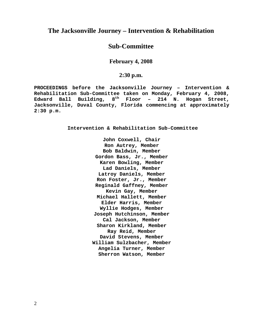# **The Jacksonville Journey – Intervention & Rehabilitation**

# **Sub-Committee**

#### **February 4, 2008**

#### **2:30 p.m.**

**PROCEEDINGS before the Jacksonville Journey – Intervention & Rehabilitation Sub-Committee taken on Monday, February 4, 2008, Edward Ball Building, 8th Floor – 214 N. Hogan Street, Jacksonville, Duval County, Florida commencing at approximately 2:30 p.m.** 

**Intervention & Rehabilitation Sub-Committee** 

**John Coxwell, Chair Ron Autrey, Member Bob Baldwin, Member Gordon Bass, Jr., Member Karen Bowling, Member Lad Daniels, Member Latroy Daniels, Member Ron Foster, Jr., Member Reginald Gaffney, Member Kevin Gay, Member Michael Hallett, Member Elder Harris, Member Wyllie Hodges, Member Joseph Hutchinson, Member Cal Jackson, Member Sharon Kirkland, Member Ray Reid, Member David Stevens, Member William Sulzbacher, Member Angelia Turner, Member Sherron Watson, Member**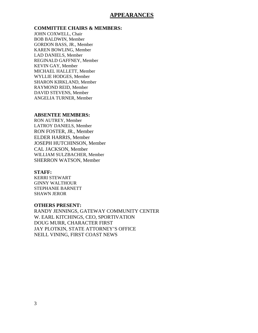## **APPEARANCES**

#### **COMMITTEE CHAIRS & MEMBERS:**

JOHN COXWELL, Chair BOB BALDWIN, Member GORDON BASS, JR., Member KAREN BOWLING, Member LAD DANIELS, Member REGINALD GAFFNEY, Member KEVIN GAY, Member MICHAEL HALLETT, Member WYLLIE HODGES, Member SHARON KIRKLAND, Member RAYMOND REID, Member DAVID STEVENS, Member ANGELIA TURNER, Member

#### **ABSENTEE MEMBERS:**

RON AUTREY, Member LATROY DANIELS, Member RON FOSTER, JR., Member ELDER HARRIS, Member JOSEPH HUTCHINSON, Member CAL JACKSON, Member WILLIAM SULZBACHER, Member SHERRON WATSON, Member

#### **STAFF:**

KERRI STEWART GINNY WALTHOUR STEPHANIE BARNETT SHAWN JEROR

#### **OTHERS PRESENT:**

RANDY JENNINGS, GATEWAY COMMUNITY CENTER W. EARL KITCHINGS, CEO, SPORTIVATION DOUG MURR, CHARACTER FIRST JAY PLOTKIN, STATE ATTORNEY'S OFFICE NEILL VINING, FIRST COAST NEWS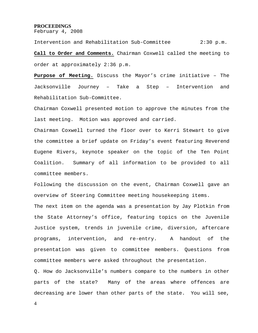#### **PROCEEDINGS**

February 4, 2008

Intervention and Rehabilitation Sub-Committee 2:30 p.m. **Call to Order and Comments.** Chairman Coxwell called the meeting to order at approximately 2:36 p.m.

**Purpose of Meeting.** Discuss the Mayor's crime initiative – The Jacksonville Journey – Take a Step – Intervention and Rehabilitation Sub-Committee.

Chairman Coxwell presented motion to approve the minutes from the last meeting. Motion was approved and carried.

Chairman Coxwell turned the floor over to Kerri Stewart to give the committee a brief update on Friday's event featuring Reverend Eugene Rivers, keynote speaker on the topic of the Ten Point Coalition. Summary of all information to be provided to all committee members.

Following the discussion on the event, Chairman Coxwell gave an overview of Steering Committee meeting housekeeping items.

The next item on the agenda was a presentation by Jay Plotkin from the State Attorney's office, featuring topics on the Juvenile Justice system, trends in juvenile crime, diversion, aftercare programs, intervention, and re-entry. A handout of the presentation was given to committee members. Questions from committee members were asked throughout the presentation.

Q. How do Jacksonville's numbers compare to the numbers in other parts of the state? Many of the areas where offences are decreasing are lower than other parts of the state. You will see,

4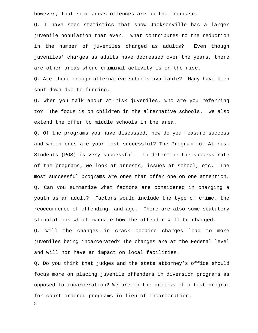however, that some areas offences are on the increase.

Q. I have seen statistics that show Jacksonville has a larger juvenile population that ever. What contributes to the reduction in the number of juveniles charged as adults? Even though juveniles' charges as adults have decreased over the years, there are other areas where criminal activity is on the rise.

Q. Are there enough alternative schools available? Many have been shut down due to funding.

Q. When you talk about at-risk juveniles, who are you referring to? The focus is on children in the alternative schools. We also extend the offer to middle schools in the area.

Q. Of the programs you have discussed, how do you measure success and which ones are your most successful? The Program for At-risk Students (POS) is very successful. To determine the success rate of the programs, we look at arrests, issues at school, etc. The most successful programs are ones that offer one on one attention. Q. Can you summarize what factors are considered in charging a youth as an adult? Factors would include the type of crime, the reoccurrence of offending, and age. There are also some statutory stipulations which mandate how the offender will be charged.

Q. Will the changes in crack cocaine charges lead to more juveniles being incarcerated? The changes are at the Federal level and will not have an impact on local facilities.

Q. Do you think that judges and the state attorney's office should focus more on placing juvenile offenders in diversion programs as opposed to incarceration? We are in the process of a test program for court ordered programs in lieu of incarceration.

5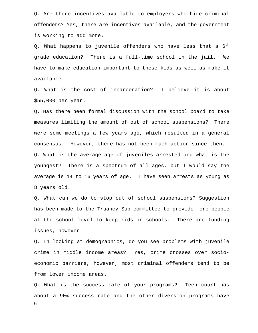Q. Are there incentives available to employers who hire criminal offenders? Yes, there are incentives available, and the government is working to add more.

Q. What happens to juvenile offenders who have less that a  $6^{th}$ grade education? There is a full-time school in the jail. We have to make education important to these kids as well as make it available.

Q. What is the cost of incarceration? I believe it is about \$55,000 per year.

Q. Has there been formal discussion with the school board to take measures limiting the amount of out of school suspensions? There were some meetings a few years ago, which resulted in a general consensus. However, there has not been much action since then. Q. What is the average age of juveniles arrested and what is the youngest? There is a spectrum of all ages, but I would say the average is 14 to 16 years of age. I have seen arrests as young as 8 years old.

Q. What can we do to stop out of school suspensions? Suggestion has been made to the Truancy Sub-committee to provide more people at the school level to keep kids in schools. There are funding issues, however.

Q. In looking at demographics, do you see problems with juvenile crime in middle income areas? Yes, crime crosses over socioeconomic barriers, however, most criminal offenders tend to be from lower income areas.

6 Q. What is the success rate of your programs? Teen court has about a 90% success rate and the other diversion programs have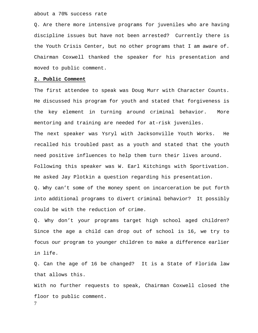about a 70% success rate

Q. Are there more intensive programs for juveniles who are having discipline issues but have not been arrested? Currently there is the Youth Crisis Center, but no other programs that I am aware of. Chairman Coxwell thanked the speaker for his presentation and moved to public comment.

#### **2. Public Comment**

The first attendee to speak was Doug Murr with Character Counts. He discussed his program for youth and stated that forgiveness is the key element in turning around criminal behavior. More mentoring and training are needed for at-risk juveniles. The next speaker was Ysryl with Jacksonville Youth Works. He recalled his troubled past as a youth and stated that the youth need positive influences to help them turn their lives around. Following this speaker was W. Earl Kitchings with Sportivation. He asked Jay Plotkin a question regarding his presentation.

Q. Why can't some of the money spent on incarceration be put forth into additional programs to divert criminal behavior? It possibly could be with the reduction of crime.

Q. Why don't your programs target high school aged children? Since the age a child can drop out of school is 16, we try to focus our program to younger children to make a difference earlier in life.

Q. Can the age of 16 be changed? It is a State of Florida law that allows this.

7 With no further requests to speak, Chairman Coxwell closed the floor to public comment.